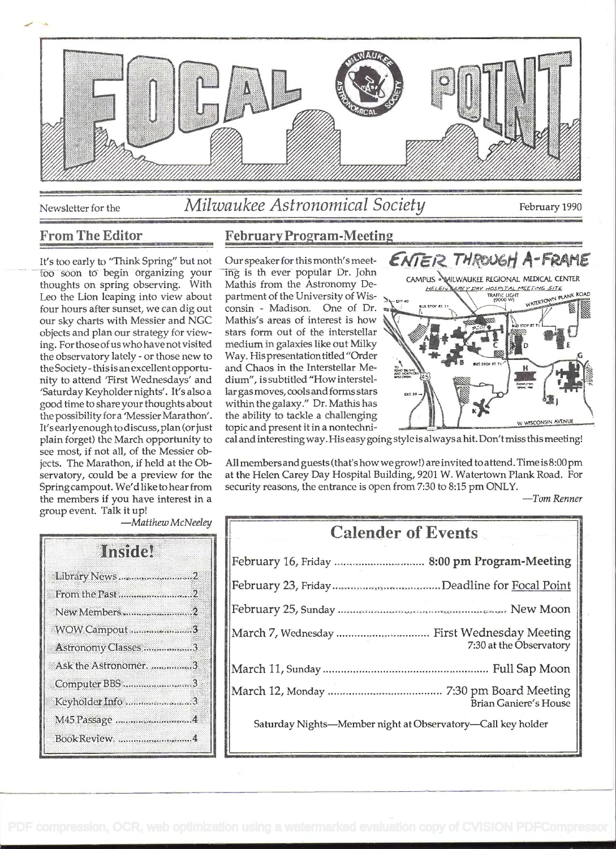

Newsletter for the

# Milwaukee Astronomical Society

February 1990

### **From The Editor**

It's too early to "Think Spring" but not too soon to begin organizing your thoughts on spring observing. With Leo the Lion leaping into view about four hours after sunset, we can dig out our sky charts with Messier and NGC objects and plan our strategy for viewing. For those of us who have not visited the observatory lately - or those new to the Society - this is an excellent opportunity to attend 'First Wednesdays' and 'Saturday Keyholder nights'. It's also a good time to share your thoughts about the possibility for a 'Messier Marathon'. It's early enough to discuss, plan (or just plain forget) the March opportunity to see most, if not all, of the Messier objects. The Marathon, if held at the Observatory, could be a preview for the Spring campout. We'd like to hear from the members if you have interest in a group event. Talk it up!

## **February Program-Meeting**

Our speaker for this month's meeting is th ever popular Dr. John Mathis from the Astronomy Department of the University of Wisconsin - Madison. One of Dr. Mathis's areas of interest is how stars form out of the interstellar medium in galaxies like out Milky Way. His presentation titled "Order and Chaos in the Interstellar Medium", is subtitled "How interstellar gas moves, cools and forms stars within the galaxy." Dr. Mathis has the ability to tackle a challenging topic and present it in a nontechni-



cal and interesting way. His easy going style is always a hit. Don't miss this meeting!

All members and guests (that's how we grow!) are invited to attend. Time is 8:00 pm at the Helen Carey Day Hospital Building, 9201 W. Watertown Plank Road. For security reasons, the entrance is open from 7:30 to 8:15 pm ONLY.

 $-Tom$  Renner

-Matthew McNeeley

| <b>Institut</b>       |
|-----------------------|
| Library News2         |
|                       |
| New Members2          |
| WOW Campout 3         |
| Astronomy Classes 3   |
| Ask the Astronomer. 3 |
| Computer BBS 3        |
| Keyholder Info 3      |
| M45 Passage 4         |
| BookReview. 4         |

| <b>Calender of Events</b>                                              |
|------------------------------------------------------------------------|
|                                                                        |
|                                                                        |
|                                                                        |
| March 7, Wednesday  First Wednesday Meeting<br>7:30 at the Observatory |
|                                                                        |
| <b>Brian Ganiere's House</b>                                           |
| Saturday Nights-Member night at Observatory-Call key holder            |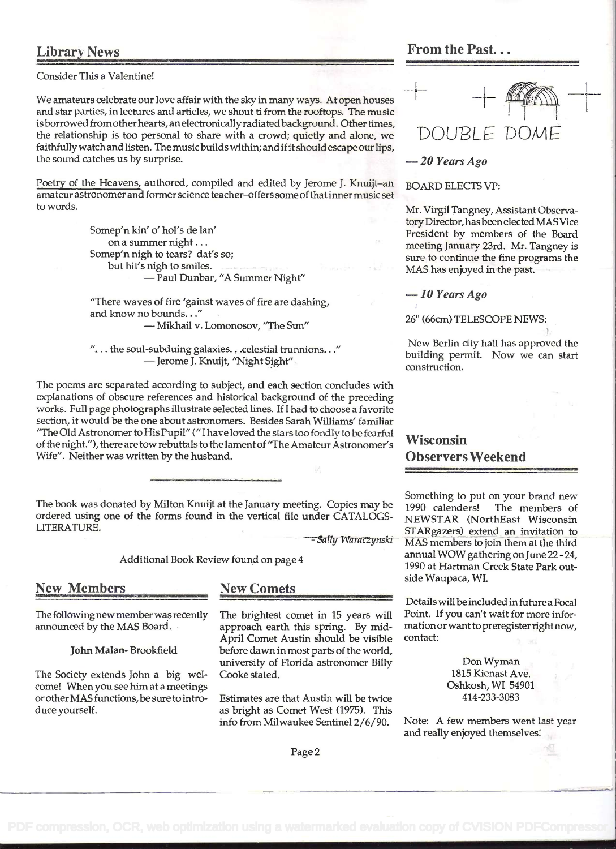Consider This a Valentine!<br>We amateurs celebrate our love affair with the sky in many ways. At open houses<br>and star parties, in lectures and articles, we shout ti from the rooftops. The music is borrowed from other hearts, an electronically radiated background. Other times,<br>the relationship is too personal to share with a crowd; quietly and alone, we  $DOUBLE$ the relationship is too personal to share with a crowd; quietly and alone, we  $\Box$  DOUBLE DOME faithfully watchand listen. The music builds within; and ifitshould escape our lips, the sound catches us by surprise.  $-20$  Years Ago

Poetry of the Heavens, authored, compiled and edited by Jerome J. Knuijt-an BOARD ELECTS VP: amateur astronomer and former science teacher-offers some of that inner music set to words. to words. The same of the state of the Mr. Virgil Tangney, Assistant Observa-

Somep'n kin' o' hol's de lan'<br>on a summer night... Somep'n nigh to tears? dat's so; but hit's nigh to smiles. - Paul Dunbar, "A Summer Night"

"There waves of fire 'gainst waves of fire are dashing, and know no bounds. . ." - Mikhail v. Lomonosov, "The Sun"

"... the soul-subduing galaxies... celestial trunnions..."<br>--- Jerome J. Knuijt, "Night Sight"

The poems are separated according to subject, and each section concludes with explanations of obscure references and historical background of the preceding works. Full page photographs illustrate selected lines. If I had to choose a favorite section, it would be the one about astronomers. Besides Sarah Williams' familiar "The Oid Astronomer to His Pupil" (" I have loved the stars too fondly to be fearful of the night."), there are tow rebuttals to the lament of "The Amateur Astronomer's Wife". Neither was written by the husband.

The book was donated by Milton Knuijt at the January meeting. Copies may be 1990 calenders! ordered using one of the forms found in the vertical file under CATALOGS-LITERATURE.

- Sally Waraczynski

Additional Book Review found on page 4

New Members New Comets

The followingnew member was recently announced by the MAS Board.

John Malan- Brookfield

The Society extends John a big welcome! When you see him at a meetings orother MAS functions, be sure to introduce yourself.

The brightest comet in 15 years will approach earth this spring. By mid-April Comet Austin should be visible before dawn in most parts of the world, university of Florida astronômer Billy Cooke stated.

Estimates are that Austin will be twice as bright as Comet West (1975). This info from Milwaukee Sentinel 2/6/90.

#### Page 2

Library News **From the Past...** 

tory Director, has been elected MAS Vice President by members of the Board meeting January 23rd. Mr. Tangney is sure to continue the fine programs the MAS has enjoyed in the past.

 $-10$  Years Ago

26" (66cm) TELESCOPE NEWS:

New Berlin city hail has approved the building permit. Now we can start construction.

Wisconsin Observers Weekend

Something to put on your brand new The members of NEWSTAR (NorthEast Wisconsin STARgazers) extend an invitation to MAS members to join them at the third annual WOW gathering on June 22 - 24, 1990 at Hartman Creek State Park outside Waupaca, WI.

Details will be included in future a Focal Point. If you can't wait for more informationor want to preregister right now, contact:

> Don Wyman 1815 Kienast Ave. Oshkosh, WI 54901 414-233-3083

Note: A few members went last year and really enjoyed themselves!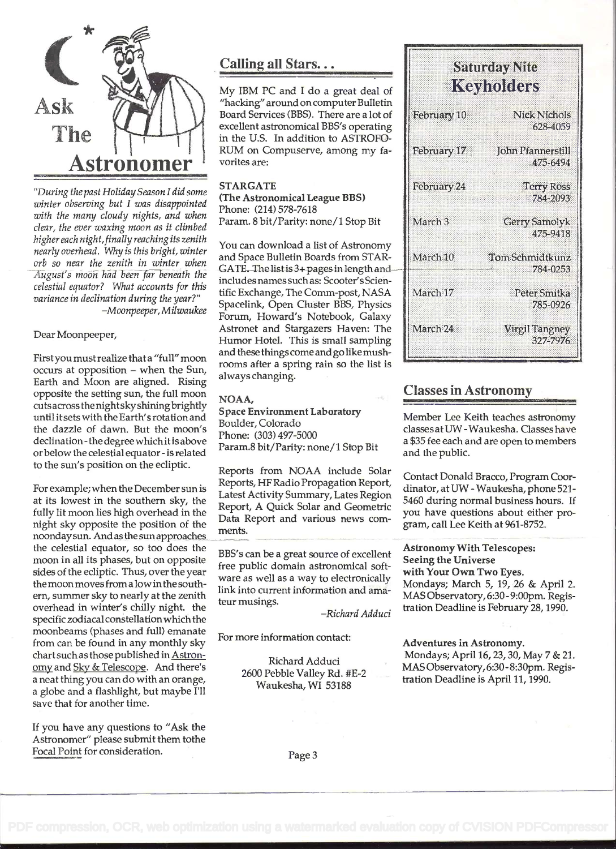

'During the past Holiday Season I did some winter observing but I was disappointed with the many cloudy nights, and when clear, the ever waxing moon as it climbed higher each night, finally reaching its zenith nearly overhead. Why is this bright, winter orb so near the zenith in winter when August's moon had beeñ far beneath the celestial equator? What accounts for this variance in declination during the year?" -Moonpeeper, Milwaukee

Dear Moonpeeper,

First you must realize that a "full" moon occurs at opposition - when the Sun, Earth and Moon are aligned. Rising opposite the setting sun, the full moon cutsacross the night sky shining brightly until itsets with the Earth's rotation and the dazzle of dawn. But the moon's declination- the degree whichit is above or below the celestial equator - is related to the sun's position on the ecliptic.

For example; when the December sun is at its lowest in the southern sky, the fully lit moon lies high overhead in the night sky opposite the position of the noondaysun. And as the sun approaches the celestial equator, so too does the moon in all its phases, but on opposite sides of the ecliptic. Thus, over the year the moon moves from a low inthe southem, summer sky to nearly at the zenith overhead in winter's chilly night. the specific zodiacal constellationwhich the moonbeams (phases and full) emanate from can be found in any monthly sky chart such as those published in Astronomy and Sky & Telescope. And there's a neat thing you can do with an orange, a globe and a flashlight, but maybe I'll save that for another time.

If you have any questions to "Ask the Astronomer" please submit them tothe Focal Point for consideration.

## Calling all Stars...

My IBM PC and I do a great deal of "hacking" around on computer Bulletin Board Services (BBS). There are a lot of excellent astronomical BBS's operating in the U.S. In addition to ASTROFO-RUM on Compuserve, among my favorites are:

#### STARGATE

(The Astronomical League BBS) Phone: (214) 578-7618 Param. 8 bit/Parity: none/1 Stop Bit

You can download a list of Astronomy and Space Bulletin Boards from STAR-GATE. The list is 3+ pages in length andincludes names such as: Scooter's Scientific Exchange, The Comm-post, NASA Spacelink, Open Cluster BBS, Physics Forum, Howard's Notebook, Galaxy Astronet and Stargazers Haven: The ||March 24 Humor Hotel. This is small sampling and these things comeand go like mushrooms after a spring rain so the list is always changing.

NOAA, Space Environment Laboratory Boulder, Colorado Phone: (303) 497-5000 Param.8 bit/Parity: none/I Stop Bit

Reports from NOAA include Solar Reports, HF Radio Propagation Report, Latest Activity Summary, Lates Region Report, A Quick Solar and Geometric Data Report and various news comments.

BBS's can be a great source of excellent free public domain astronomical software as well as a way to electronically link into current information and amateur musings.

-Richard Adduci

For more information contact:

Richard Adduci 2600 Pebble Valley Rd. #E-2 Waukesha, WI 53188

| Keyholders         |                                 |
|--------------------|---------------------------------|
| February 10        | <b>Nick Nichols</b><br>628-4059 |
| February 17        | John Pfannerstill<br>475-6494   |
| February 24        | <b>Terry Ross</b><br>784-2093   |
| March <sub>3</sub> | Gerry Samolyk<br>475-9418       |
| March 10           | Tom Schmidtkunz<br>784-0253     |
| March 17           | Peter Smitka<br>785-0926        |
| March 24           | <b>Virgil Tangney</b>           |

Softwalow Nito

#### Classes in Astronomy

Member Lee Keith teaches astronomy classesatUW -Waukesha. Classes have a \$35 fee each and are open to members and the public.

327-7976

Contact Donald Bracco, Program Coordinator, at UW - Waukesha, phone 521- 5460 during normal business hours. If you have questions about either program, call Lee Keith at 961-8752.

Astronomy With Telescopes: Seeing the Universe with Your Own Two Eyes. Mondays; March 5, 19, 26 & April 2. MAS Observatory, 6:30 - 9:00pm. Registration Deadline is February 28, 1990.

Adventures in Astronomy.

Mondays; April 16, 23, 30, May 7 & 21. MAS Observatory, 6:30 - 8:30pm. Registration Deadline is April 11, 1990.